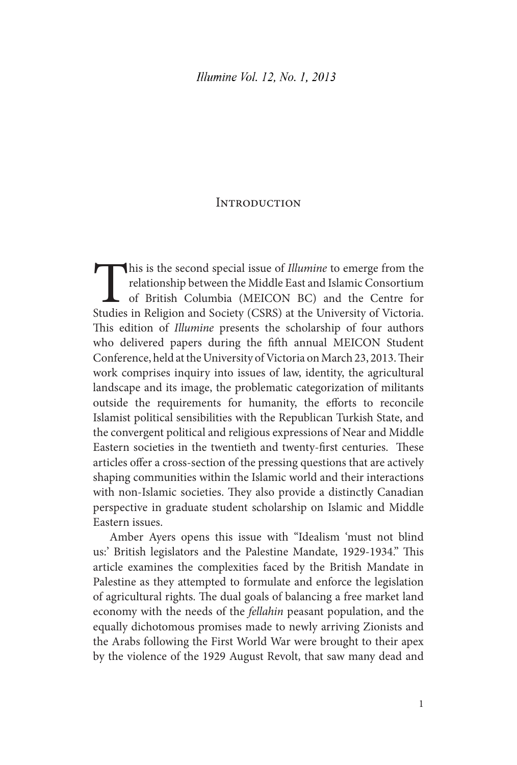## **INTRODUCTION**

This is the second special issue of *Illumine* to emerge from the relationship between the Middle East and Islamic Consortium of British Columbia (MEICON BC) and the Centre for Studies in Religion and Society (CSRS) at the University of Victoria. This edition of *Illumine* presents the scholarship of four authors who delivered papers during the fifth annual MEICON Student Conference, held at the University of Victoria on March 23, 2013. Their work comprises inquiry into issues of law, identity, the agricultural landscape and its image, the problematic categorization of militants outside the requirements for humanity, the efforts to reconcile Islamist political sensibilities with the Republican Turkish State, and the convergent political and religious expressions of Near and Middle Eastern societies in the twentieth and twenty-first centuries. These articles offer a cross-section of the pressing questions that are actively shaping communities within the Islamic world and their interactions with non-Islamic societies. They also provide a distinctly Canadian perspective in graduate student scholarship on Islamic and Middle Eastern issues.

Amber Ayers opens this issue with "Idealism 'must not blind us:' British legislators and the Palestine Mandate, 1929-1934." This article examines the complexities faced by the British Mandate in Palestine as they attempted to formulate and enforce the legislation of agricultural rights. The dual goals of balancing a free market land economy with the needs of the *fellahin* peasant population, and the equally dichotomous promises made to newly arriving Zionists and the Arabs following the First World War were brought to their apex by the violence of the 1929 August Revolt, that saw many dead and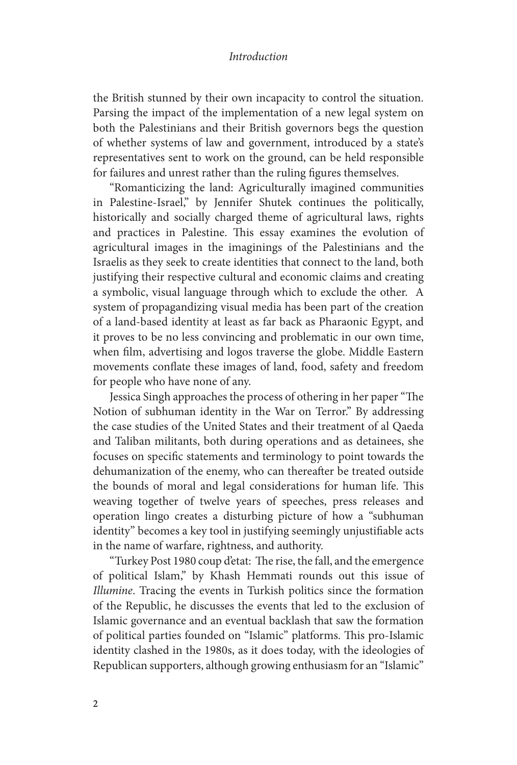## *Introduction*

the British stunned by their own incapacity to control the situation. Parsing the impact of the implementation of a new legal system on both the Palestinians and their British governors begs the question of whether systems of law and government, introduced by a state's representatives sent to work on the ground, can be held responsible for failures and unrest rather than the ruling figures themselves.

"Romanticizing the land: Agriculturally imagined communities in Palestine-Israel," by Jennifer Shutek continues the politically, historically and socially charged theme of agricultural laws, rights and practices in Palestine. This essay examines the evolution of agricultural images in the imaginings of the Palestinians and the Israelis as they seek to create identities that connect to the land, both justifying their respective cultural and economic claims and creating a symbolic, visual language through which to exclude the other. A system of propagandizing visual media has been part of the creation of a land-based identity at least as far back as Pharaonic Egypt, and it proves to be no less convincing and problematic in our own time, when film, advertising and logos traverse the globe. Middle Eastern movements conflate these images of land, food, safety and freedom for people who have none of any.

Jessica Singh approaches the process of othering in her paper "The Notion of subhuman identity in the War on Terror." By addressing the case studies of the United States and their treatment of al Qaeda and Taliban militants, both during operations and as detainees, she focuses on specific statements and terminology to point towards the dehumanization of the enemy, who can thereafter be treated outside the bounds of moral and legal considerations for human life. This weaving together of twelve years of speeches, press releases and operation lingo creates a disturbing picture of how a "subhuman identity" becomes a key tool in justifying seemingly unjustifiable acts in the name of warfare, rightness, and authority.

"Turkey Post 1980 coup d'etat: The rise, the fall, and the emergence of political Islam," by Khash Hemmati rounds out this issue of *Illumine*. Tracing the events in Turkish politics since the formation of the Republic, he discusses the events that led to the exclusion of Islamic governance and an eventual backlash that saw the formation of political parties founded on "Islamic" platforms. This pro-Islamic identity clashed in the 1980s, as it does today, with the ideologies of Republican supporters, although growing enthusiasm for an "Islamic"